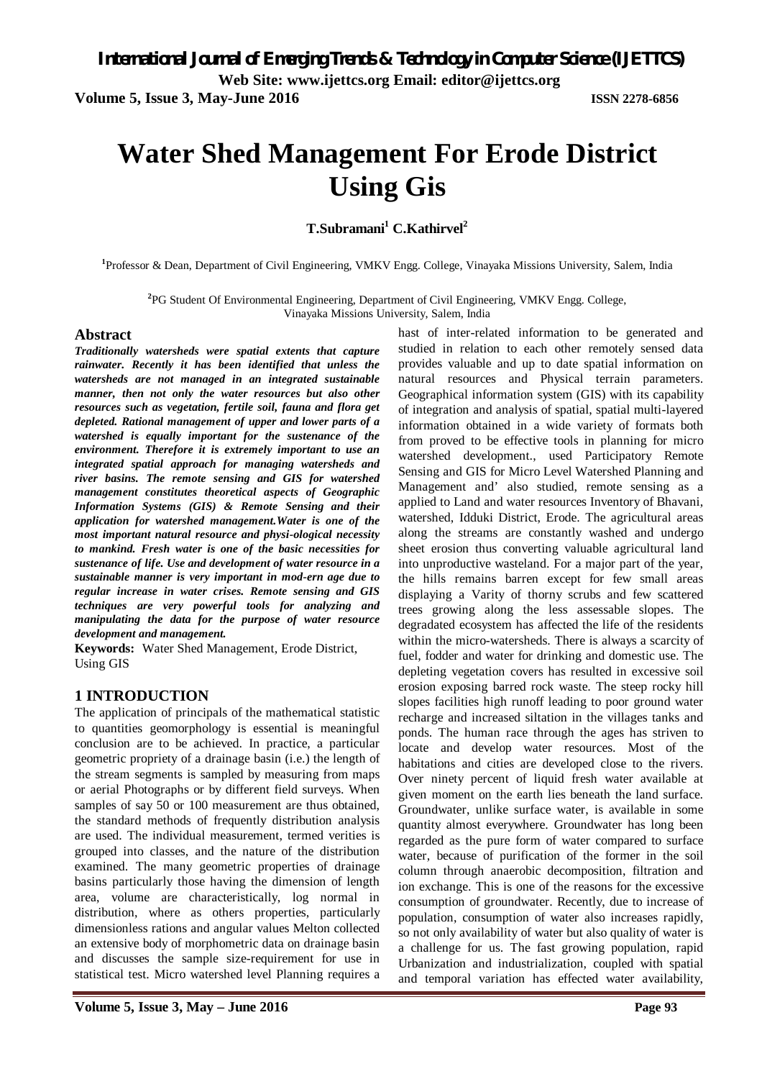**Web Site: www.ijettcs.org Email: editor@ijettcs.org** 

**Volume 5, Issue 3, May-June 2016 ISSN 2278-6856**

# **Water Shed Management For Erode District Using Gis**

**T.Subramani<sup>1</sup> C.Kathirvel<sup>2</sup>**

**1** Professor & Dean, Department of Civil Engineering, VMKV Engg. College, Vinayaka Missions University, Salem, India

**2** PG Student Of Environmental Engineering, Department of Civil Engineering, VMKV Engg. College, Vinayaka Missions University, Salem, India

#### **Abstract**

*Traditionally watersheds were spatial extents that capture rainwater. Recently it has been identified that unless the watersheds are not managed in an integrated sustainable manner, then not only the water resources but also other resources such as vegetation, fertile soil, fauna and flora get depleted. Rational management of upper and lower parts of a watershed is equally important for the sustenance of the environment. Therefore it is extremely important to use an integrated spatial approach for managing watersheds and river basins. The remote sensing and GIS for watershed management constitutes theoretical aspects of Geographic Information Systems (GIS) & Remote Sensing and their application for watershed management.Water is one of the most important natural resource and physi-ological necessity to mankind. Fresh water is one of the basic necessities for sustenance of life. Use and development of water resource in a sustainable manner is very important in mod-ern age due to regular increase in water crises. Remote sensing and GIS techniques are very powerful tools for analyzing and manipulating the data for the purpose of water resource development and management.*

**Keywords:** Water Shed Management, Erode District, Using GIS

#### **1 INTRODUCTION**

The application of principals of the mathematical statistic to quantities geomorphology is essential is meaningful conclusion are to be achieved. In practice, a particular geometric propriety of a drainage basin (i.e.) the length of the stream segments is sampled by measuring from maps or aerial Photographs or by different field surveys. When samples of say 50 or 100 measurement are thus obtained, the standard methods of frequently distribution analysis are used. The individual measurement, termed verities is grouped into classes, and the nature of the distribution examined. The many geometric properties of drainage basins particularly those having the dimension of length area, volume are characteristically, log normal in distribution, where as others properties, particularly dimensionless rations and angular values Melton collected an extensive body of morphometric data on drainage basin and discusses the sample size-requirement for use in statistical test. Micro watershed level Planning requires a hast of inter-related information to be generated and studied in relation to each other remotely sensed data provides valuable and up to date spatial information on natural resources and Physical terrain parameters. Geographical information system (GIS) with its capability of integration and analysis of spatial, spatial multi-layered information obtained in a wide variety of formats both from proved to be effective tools in planning for micro watershed development., used Participatory Remote Sensing and GIS for Micro Level Watershed Planning and Management and' also studied, remote sensing as a applied to Land and water resources Inventory of Bhavani, watershed, Idduki District, Erode. The agricultural areas along the streams are constantly washed and undergo sheet erosion thus converting valuable agricultural land into unproductive wasteland. For a major part of the year, the hills remains barren except for few small areas displaying a Varity of thorny scrubs and few scattered trees growing along the less assessable slopes. The degradated ecosystem has affected the life of the residents within the micro-watersheds. There is always a scarcity of fuel, fodder and water for drinking and domestic use. The depleting vegetation covers has resulted in excessive soil erosion exposing barred rock waste. The steep rocky hill slopes facilities high runoff leading to poor ground water recharge and increased siltation in the villages tanks and ponds. The human race through the ages has striven to locate and develop water resources. Most of the habitations and cities are developed close to the rivers. Over ninety percent of liquid fresh water available at given moment on the earth lies beneath the land surface. Groundwater, unlike surface water, is available in some quantity almost everywhere. Groundwater has long been regarded as the pure form of water compared to surface water, because of purification of the former in the soil column through anaerobic decomposition, filtration and ion exchange. This is one of the reasons for the excessive consumption of groundwater. Recently, due to increase of population, consumption of water also increases rapidly, so not only availability of water but also quality of water is a challenge for us. The fast growing population, rapid Urbanization and industrialization, coupled with spatial and temporal variation has effected water availability,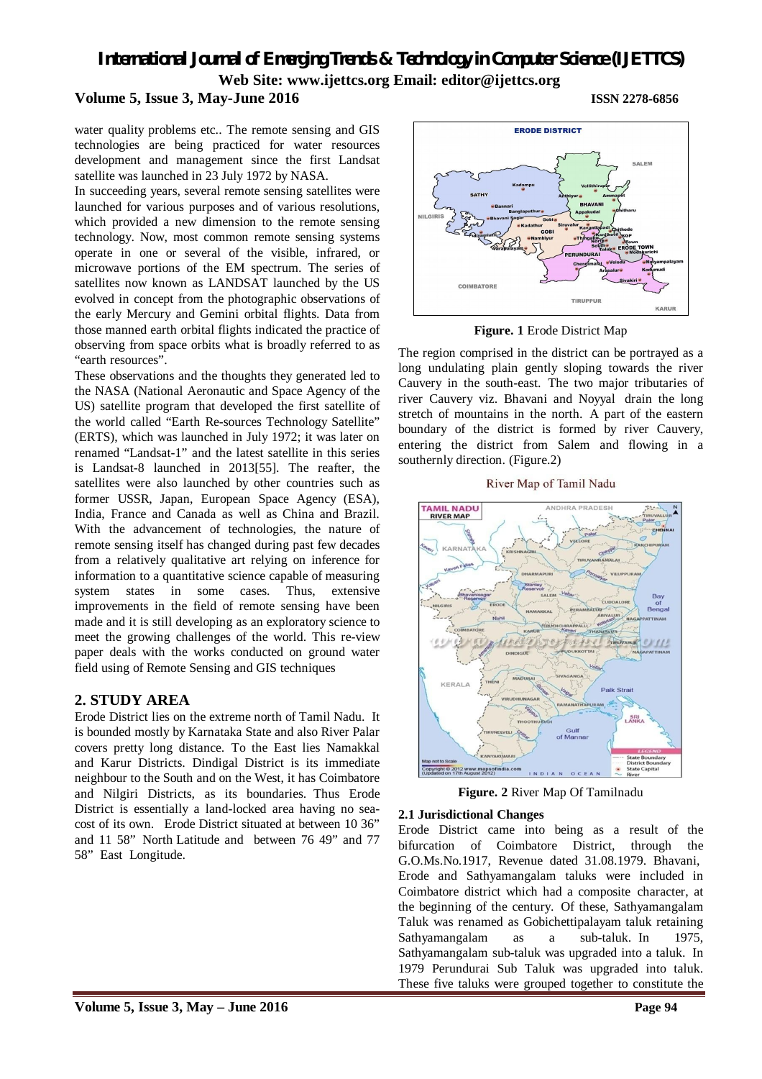### **Volume 5, Issue 3, May-June 2016 ISSN 2278-6856**

water quality problems etc.. The remote sensing and GIS technologies are being practiced for water resources development and management since the first Landsat satellite was launched in 23 July 1972 by NASA.

In succeeding years, several remote sensing satellites were launched for various purposes and of various resolutions, which provided a new dimension to the remote sensing technology. Now, most common remote sensing systems operate in one or several of the visible, infrared, or microwave portions of the EM spectrum. The series of satellites now known as LANDSAT launched by the US evolved in concept from the photographic observations of the early Mercury and Gemini orbital flights. Data from those manned earth orbital flights indicated the practice of observing from space orbits what is broadly referred to as "earth resources".

These observations and the thoughts they generated led to the NASA (National Aeronautic and Space Agency of the US) satellite program that developed the first satellite of the world called "Earth Re-sources Technology Satellite" (ERTS), which was launched in July 1972; it was later on renamed "Landsat-1" and the latest satellite in this series is Landsat-8 launched in 2013[55]. The reafter, the satellites were also launched by other countries such as former USSR, Japan, European Space Agency (ESA), India, France and Canada as well as China and Brazil. With the advancement of technologies, the nature of remote sensing itself has changed during past few decades from a relatively qualitative art relying on inference for information to a quantitative science capable of measuring system states in some cases. Thus, extensive improvements in the field of remote sensing have been made and it is still developing as an exploratory science to meet the growing challenges of the world. This re-view paper deals with the works conducted on ground water field using of Remote Sensing and GIS techniques

### **2. STUDY AREA**

Erode District lies on the extreme north of Tamil Nadu. It is bounded mostly by Karnataka State and also River Palar covers pretty long distance. To the East lies Namakkal and Karur Districts. Dindigal District is its immediate neighbour to the South and on the West, it has Coimbatore and Nilgiri Districts, as its boundaries. Thus Erode District is essentially a land-locked area having no seacost of its own. Erode District situated at between 10 36" and 11 58" North Latitude and between 76 49" and 77 58" East Longitude.



**Figure. 1** Erode District Map

The region comprised in the district can be portrayed as a long undulating plain gently sloping towards the river Cauvery in the south-east. The two major tributaries of river Cauvery viz. Bhavani and Noyyal drain the long stretch of mountains in the north. A part of the eastern boundary of the district is formed by river Cauvery, entering the district from Salem and flowing in a southernly direction. (Figure.2)





**Figure. 2** River Map Of Tamilnadu

#### **2.1 Jurisdictional Changes**

Erode District came into being as a result of the bifurcation of Coimbatore District, through the G.O.Ms.No.1917, Revenue dated 31.08.1979. Bhavani, Erode and Sathyamangalam taluks were included in Coimbatore district which had a composite character, at the beginning of the century. Of these, Sathyamangalam Taluk was renamed as Gobichettipalayam taluk retaining Sathyamangalam as a sub-taluk. In 1975, Sathyamangalam sub-taluk was upgraded into a taluk. In 1979 Perundurai Sub Taluk was upgraded into taluk. These five taluks were grouped together to constitute the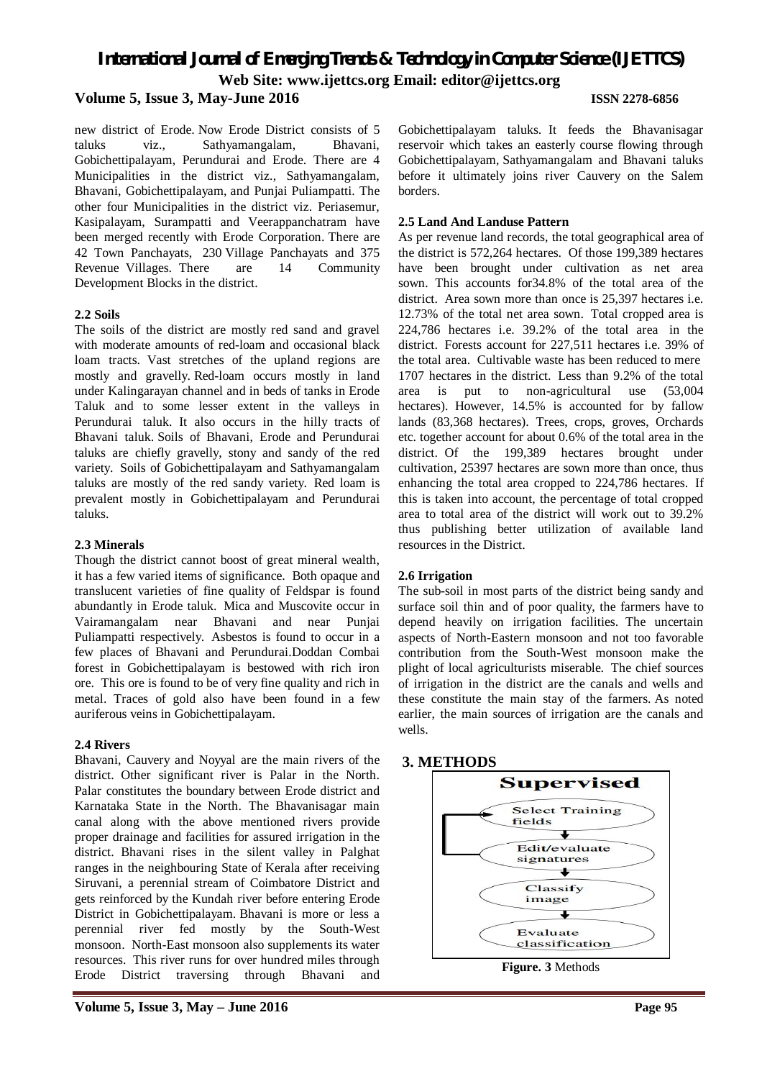#### **Volume 5, Issue 3, May-June 2016 ISSN 2278-6856**

new district of Erode. Now Erode District consists of 5 taluks viz., Sathyamangalam, Bhavani, Gobichettipalayam, Perundurai and Erode. There are 4 Municipalities in the district viz., Sathyamangalam, Bhavani, Gobichettipalayam, and Punjai Puliampatti. The other four Municipalities in the district viz. Periasemur, Kasipalayam, Surampatti and Veerappanchatram have been merged recently with Erode Corporation. There are 42 Town Panchayats, 230 Village Panchayats and 375 Revenue Villages. There are 14 Community Development Blocks in the district.

#### **2.2 Soils**

The soils of the district are mostly red sand and gravel with moderate amounts of red-loam and occasional black loam tracts. Vast stretches of the upland regions are mostly and gravelly. Red-loam occurs mostly in land under Kalingarayan channel and in beds of tanks in Erode Taluk and to some lesser extent in the valleys in Perundurai taluk. It also occurs in the hilly tracts of Bhavani taluk. Soils of Bhavani, Erode and Perundurai taluks are chiefly gravelly, stony and sandy of the red variety. Soils of Gobichettipalayam and Sathyamangalam taluks are mostly of the red sandy variety. Red loam is prevalent mostly in Gobichettipalayam and Perundurai taluks.

#### **2.3 Minerals**

Though the district cannot boost of great mineral wealth, it has a few varied items of significance. Both opaque and translucent varieties of fine quality of Feldspar is found abundantly in Erode taluk. Mica and Muscovite occur in Vairamangalam near Bhavani and near Punjai Puliampatti respectively. Asbestos is found to occur in a few places of Bhavani and Perundurai.Doddan Combai forest in Gobichettipalayam is bestowed with rich iron ore. This ore is found to be of very fine quality and rich in metal. Traces of gold also have been found in a few auriferous veins in Gobichettipalayam.

#### **2.4 Rivers**

Bhavani, Cauvery and Noyyal are the main rivers of the district. Other significant river is Palar in the North. Palar constitutes the boundary between Erode district and Karnataka State in the North. The Bhavanisagar main canal along with the above mentioned rivers provide proper drainage and facilities for assured irrigation in the district. Bhavani rises in the silent valley in Palghat ranges in the neighbouring State of Kerala after receiving Siruvani, a perennial stream of Coimbatore District and gets reinforced by the Kundah river before entering Erode District in Gobichettipalayam. Bhavani is more or less a perennial river fed mostly by the South-West monsoon. North-East monsoon also supplements its water resources. This river runs for over hundred miles through Erode District traversing through Bhavani and

Gobichettipalayam taluks. It feeds the Bhavanisagar reservoir which takes an easterly course flowing through Gobichettipalayam, Sathyamangalam and Bhavani taluks before it ultimately joins river Cauvery on the Salem borders.

#### **2.5 Land And Landuse Pattern**

As per revenue land records, the total geographical area of the district is 572,264 hectares. Of those 199,389 hectares have been brought under cultivation as net area sown. This accounts for34.8% of the total area of the district. Area sown more than once is 25,397 hectares i.e. 12.73% of the total net area sown. Total cropped area is 224,786 hectares i.e. 39.2% of the total area in the district. Forests account for 227,511 hectares i.e. 39% of the total area. Cultivable waste has been reduced to mere 1707 hectares in the district. Less than 9.2% of the total area is put to non-agricultural use (53,004 hectares). However, 14.5% is accounted for by fallow lands (83,368 hectares). Trees, crops, groves, Orchards etc. together account for about 0.6% of the total area in the district. Of the 199,389 hectares brought under cultivation, 25397 hectares are sown more than once, thus enhancing the total area cropped to 224,786 hectares. If this is taken into account, the percentage of total cropped area to total area of the district will work out to 39.2% thus publishing better utilization of available land resources in the District.

#### **2.6 Irrigation**

The sub-soil in most parts of the district being sandy and surface soil thin and of poor quality, the farmers have to depend heavily on irrigation facilities. The uncertain aspects of North-Eastern monsoon and not too favorable contribution from the South-West monsoon make the plight of local agriculturists miserable. The chief sources of irrigation in the district are the canals and wells and these constitute the main stay of the farmers. As noted earlier, the main sources of irrigation are the canals and wells.



**Figure. 3** Methods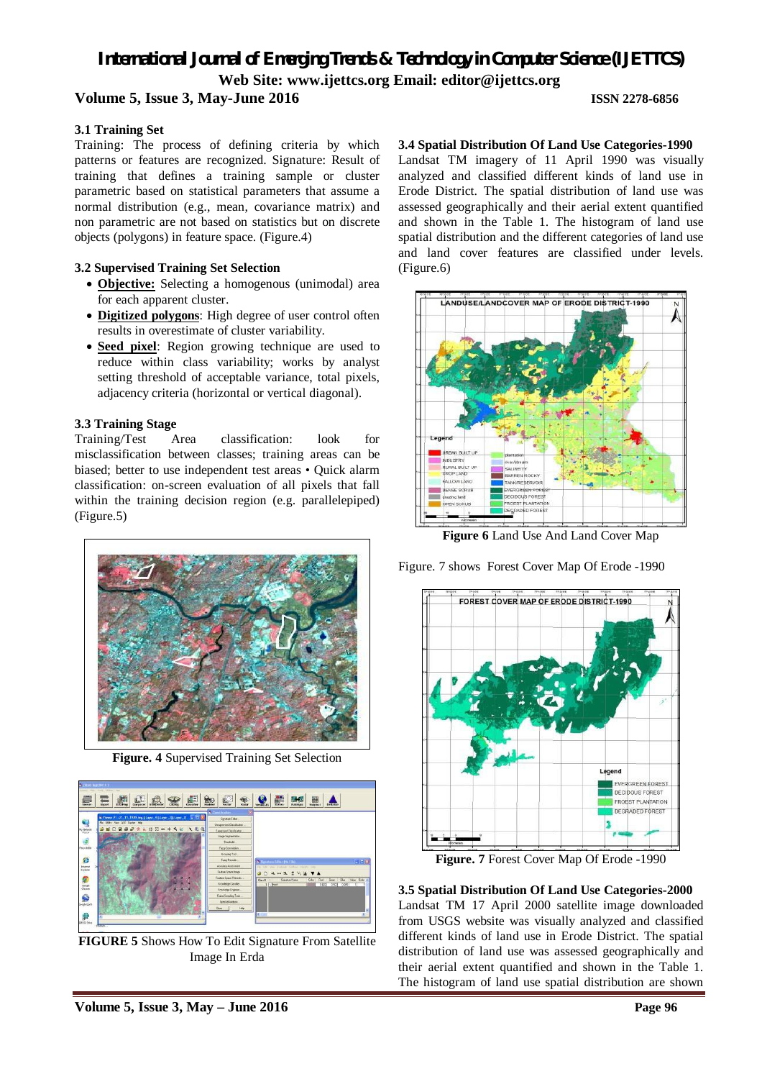### **Volume 5, Issue 3, May-June 2016 ISSN 2278-6856**

#### **3.1 Training Set**

Training: The process of defining criteria by which patterns or features are recognized. Signature: Result of training that defines a training sample or cluster parametric based on statistical parameters that assume a normal distribution (e.g., mean, covariance matrix) and non parametric are not based on statistics but on discrete objects (polygons) in feature space. (Figure.4)

#### **3.2 Supervised Training Set Selection**

- **Objective:** Selecting a homogenous (unimodal) area for each apparent cluster.
- **Digitized polygons**: High degree of user control often results in overestimate of cluster variability.
- **Seed pixel**: Region growing technique are used to reduce within class variability; works by analyst setting threshold of acceptable variance, total pixels, adjacency criteria (horizontal or vertical diagonal).

#### **3.3 Training Stage**

Training/Test Area classification: look for misclassification between classes; training areas can be biased; better to use independent test areas • Quick alarm classification: on-screen evaluation of all pixels that fall within the training decision region (e.g. parallelepiped) (Figure.5)



**Figure. 4** Supervised Training Set Selection



**FIGURE 5** Shows How To Edit Signature From Satellite Image In Erda

#### **3.4 Spatial Distribution Of Land Use Categories-1990**

Landsat TM imagery of 11 April 1990 was visually analyzed and classified different kinds of land use in Erode District. The spatial distribution of land use was assessed geographically and their aerial extent quantified and shown in the Table 1. The histogram of land use spatial distribution and the different categories of land use and land cover features are classified under levels. (Figure.6)



**Figure 6** Land Use And Land Cover Map

Figure. 7 shows Forest Cover Map Of Erode -1990



**Figure. 7** Forest Cover Map Of Erode -1990

**3.5 Spatial Distribution Of Land Use Categories-2000**  Landsat TM 17 April 2000 satellite image downloaded from USGS website was visually analyzed and classified different kinds of land use in Erode District. The spatial distribution of land use was assessed geographically and their aerial extent quantified and shown in the Table 1. The histogram of land use spatial distribution are shown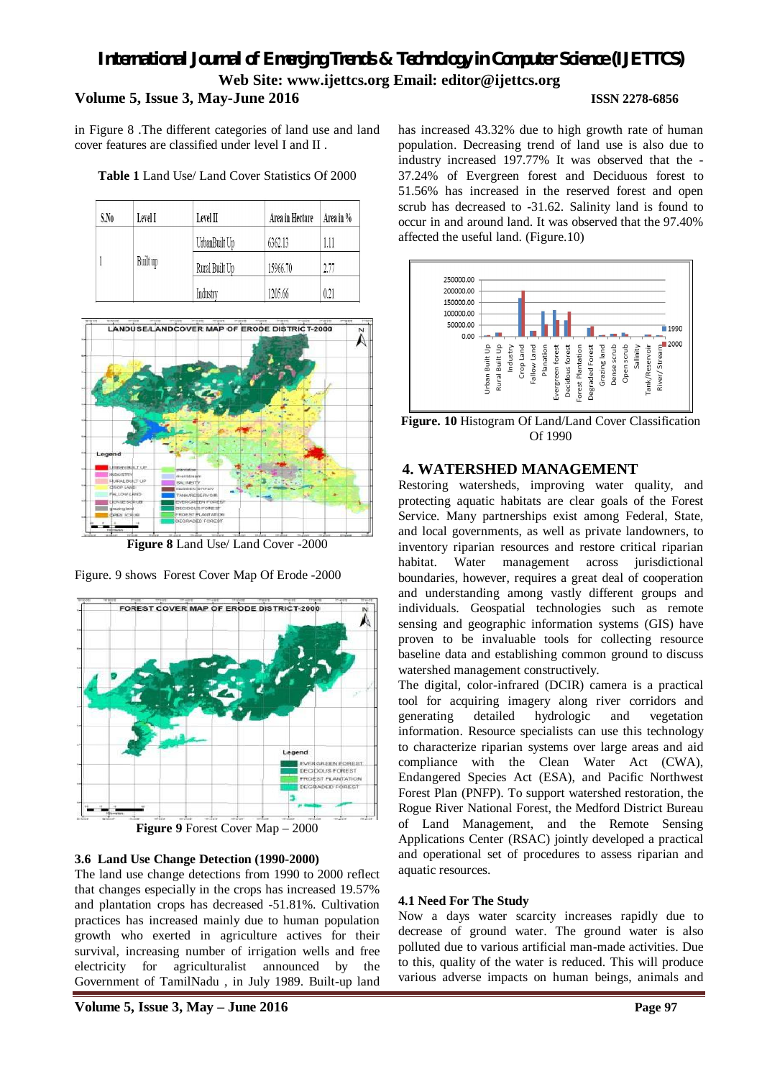# *International Journal of Emerging Trends & Technology in Computer Science (IJETTCS)* **Web Site: www.ijettcs.org Email: editor@ijettcs.org Volume 5, Issue 3, May-June 2016 ISSN 2278-6856**

in Figure 8 .The different categories of land use and land cover features are classified under level I and II .

|  | <b>Table 1</b> Land Use/ Land Cover Statistics Of 2000 |
|--|--------------------------------------------------------|
|--|--------------------------------------------------------|

| S.No | Level I  | Level II       | Area in Hectare | Area in % |
|------|----------|----------------|-----------------|-----------|
|      | Built up | UrbanBuilt Up  | 6362.13         | 1.11      |
|      |          | Rural Built Up | 15966.70        | 2.77      |
|      |          | Industry       | 1205.66         | 0.21      |



**Figure 8** Land Use/ Land Cover -2000

Figure. 9 shows Forest Cover Map Of Erode -2000



# **3.6 Land Use Change Detection (1990-2000)**

The land use change detections from 1990 to 2000 reflect that changes especially in the crops has increased 19.57% and plantation crops has decreased -51.81%. Cultivation practices has increased mainly due to human population growth who exerted in agriculture actives for their survival, increasing number of irrigation wells and free electricity for agriculturalist announced by the Government of TamilNadu , in July 1989. Built-up land

has increased 43.32% due to high growth rate of human population. Decreasing trend of land use is also due to industry increased 197.77% It was observed that the - 37.24% of Evergreen forest and Deciduous forest to 51.56% has increased in the reserved forest and open scrub has decreased to -31.62. Salinity land is found to occur in and around land. It was observed that the 97.40% affected the useful land. (Figure.10)



**Figure. 10** Histogram Of Land/Land Cover Classification Of 1990

# **4. WATERSHED MANAGEMENT**

Restoring watersheds, improving water quality, and protecting aquatic habitats are clear goals of the Forest Service. Many partnerships exist among Federal, State, and local governments, as well as private landowners, to inventory riparian resources and restore critical riparian habitat. Water management across jurisdictional boundaries, however, requires a great deal of cooperation and understanding among vastly different groups and individuals. Geospatial technologies such as remote sensing and geographic information systems (GIS) have proven to be invaluable tools for collecting resource baseline data and establishing common ground to discuss watershed management constructively.

The digital, color-infrared (DCIR) camera is a practical tool for acquiring imagery along river corridors and generating detailed hydrologic and vegetation information. Resource specialists can use this technology to characterize riparian systems over large areas and aid compliance with the Clean Water Act (CWA), Endangered Species Act (ESA), and Pacific Northwest Forest Plan (PNFP). To support watershed restoration, the Rogue River National Forest, the Medford District Bureau of Land Management, and the Remote Sensing Applications Center (RSAC) jointly developed a practical and operational set of procedures to assess riparian and aquatic resources.

#### **4.1 Need For The Study**

Now a days water scarcity increases rapidly due to decrease of ground water. The ground water is also polluted due to various artificial man-made activities. Due to this, quality of the water is reduced. This will produce various adverse impacts on human beings, animals and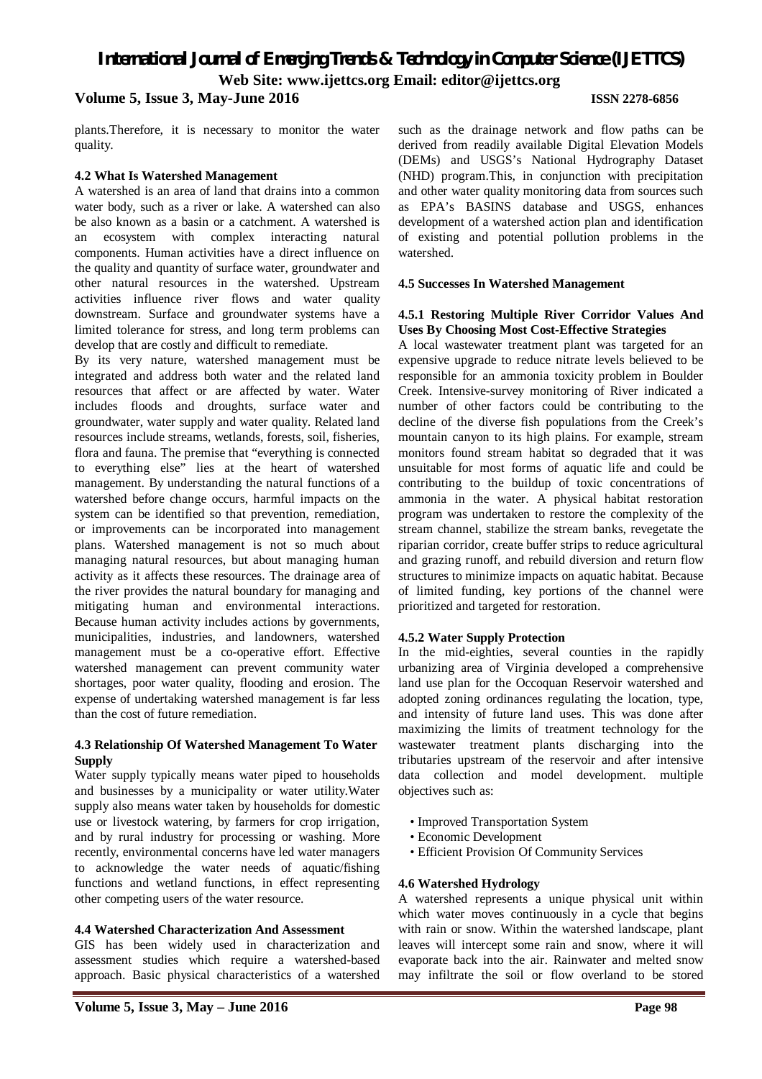# *International Journal of Emerging Trends & Technology in Computer Science (IJETTCS)* **Web Site: www.ijettcs.org Email: editor@ijettcs.org Volume 5, Issue 3, May-June 2016 ISSN 2278-6856**

plants.Therefore, it is necessary to monitor the water quality.

#### **4.2 What Is Watershed Management**

A watershed is an area of land that drains into a common water body, such as a river or lake. A watershed can also be also known as a basin or a catchment. A watershed is an ecosystem with complex interacting natural components. Human activities have a direct influence on the quality and quantity of surface water, groundwater and other natural resources in the watershed. Upstream activities influence river flows and water quality downstream. Surface and groundwater systems have a limited tolerance for stress, and long term problems can develop that are costly and difficult to remediate.

By its very nature, watershed management must be integrated and address both water and the related land resources that affect or are affected by water. Water includes floods and droughts, surface water and groundwater, water supply and water quality. Related land resources include streams, wetlands, forests, soil, fisheries, flora and fauna. The premise that "everything is connected to everything else" lies at the heart of watershed management. By understanding the natural functions of a watershed before change occurs, harmful impacts on the system can be identified so that prevention, remediation, or improvements can be incorporated into management plans. Watershed management is not so much about managing natural resources, but about managing human activity as it affects these resources. The drainage area of the river provides the natural boundary for managing and mitigating human and environmental interactions. Because human activity includes actions by governments, municipalities, industries, and landowners, watershed management must be a co-operative effort. Effective watershed management can prevent community water shortages, poor water quality, flooding and erosion. The expense of undertaking watershed management is far less than the cost of future remediation.

#### **4.3 Relationship Of Watershed Management To Water Supply**

Water supply typically means water piped to households and businesses by a municipality or water utility.Water supply also means water taken by households for domestic use or livestock watering, by farmers for crop irrigation, and by rural industry for processing or washing. More recently, environmental concerns have led water managers to acknowledge the water needs of aquatic/fishing functions and wetland functions, in effect representing other competing users of the water resource.

#### **4.4 Watershed Characterization And Assessment**

GIS has been widely used in characterization and assessment studies which require a watershed-based approach. Basic physical characteristics of a watershed

such as the drainage network and flow paths can be derived from readily available Digital Elevation Models (DEMs) and USGS's National Hydrography Dataset (NHD) program.This, in conjunction with precipitation and other water quality monitoring data from sources such as EPA's BASINS database and USGS, enhances development of a watershed action plan and identification of existing and potential pollution problems in the watershed.

#### **4.5 Successes In Watershed Management**

#### **4.5.1 Restoring Multiple River Corridor Values And Uses By Choosing Most Cost-Effective Strategies**

A local wastewater treatment plant was targeted for an expensive upgrade to reduce nitrate levels believed to be responsible for an ammonia toxicity problem in Boulder Creek. Intensive-survey monitoring of River indicated a number of other factors could be contributing to the decline of the diverse fish populations from the Creek's mountain canyon to its high plains. For example, stream monitors found stream habitat so degraded that it was unsuitable for most forms of aquatic life and could be contributing to the buildup of toxic concentrations of ammonia in the water. A physical habitat restoration program was undertaken to restore the complexity of the stream channel, stabilize the stream banks, revegetate the riparian corridor, create buffer strips to reduce agricultural and grazing runoff, and rebuild diversion and return flow structures to minimize impacts on aquatic habitat. Because of limited funding, key portions of the channel were prioritized and targeted for restoration.

#### **4.5.2 Water Supply Protection**

In the mid-eighties, several counties in the rapidly urbanizing area of Virginia developed a comprehensive land use plan for the Occoquan Reservoir watershed and adopted zoning ordinances regulating the location, type, and intensity of future land uses. This was done after maximizing the limits of treatment technology for the wastewater treatment plants discharging into the tributaries upstream of the reservoir and after intensive data collection and model development. multiple objectives such as:

- Improved Transportation System
- Economic Development
- Efficient Provision Of Community Services

#### **4.6 Watershed Hydrology**

A watershed represents a unique physical unit within which water moves continuously in a cycle that begins with rain or snow. Within the watershed landscape, plant leaves will intercept some rain and snow, where it will evaporate back into the air. Rainwater and melted snow may infiltrate the soil or flow overland to be stored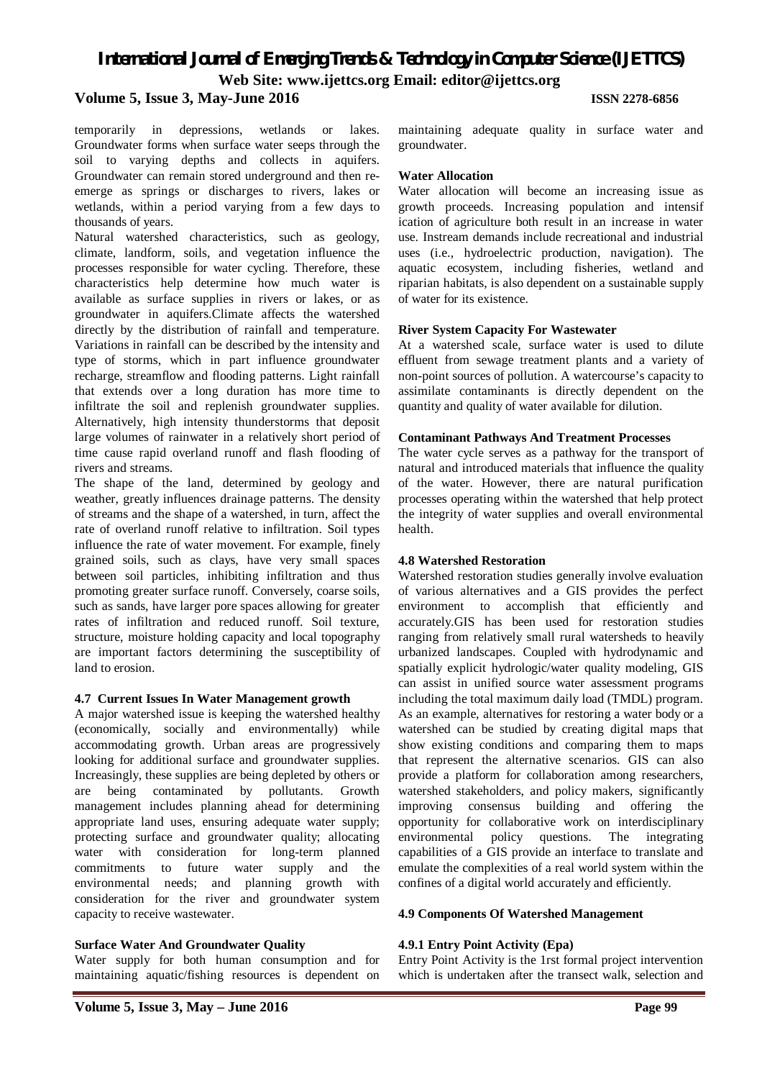### **Volume 5, Issue 3, May-June 2016 ISSN 2278-6856**

temporarily in depressions, wetlands or lakes. Groundwater forms when surface water seeps through the soil to varying depths and collects in aquifers. Groundwater can remain stored underground and then reemerge as springs or discharges to rivers, lakes or wetlands, within a period varying from a few days to thousands of years.

Natural watershed characteristics, such as geology, climate, landform, soils, and vegetation influence the processes responsible for water cycling. Therefore, these characteristics help determine how much water is available as surface supplies in rivers or lakes, or as groundwater in aquifers.Climate affects the watershed directly by the distribution of rainfall and temperature. Variations in rainfall can be described by the intensity and type of storms, which in part influence groundwater recharge, streamflow and flooding patterns. Light rainfall that extends over a long duration has more time to infiltrate the soil and replenish groundwater supplies. Alternatively, high intensity thunderstorms that deposit large volumes of rainwater in a relatively short period of time cause rapid overland runoff and flash flooding of rivers and streams.

The shape of the land, determined by geology and weather, greatly influences drainage patterns. The density of streams and the shape of a watershed, in turn, affect the rate of overland runoff relative to infiltration. Soil types influence the rate of water movement. For example, finely grained soils, such as clays, have very small spaces between soil particles, inhibiting infiltration and thus promoting greater surface runoff. Conversely, coarse soils, such as sands, have larger pore spaces allowing for greater rates of infiltration and reduced runoff. Soil texture, structure, moisture holding capacity and local topography are important factors determining the susceptibility of land to erosion.

#### **4.7 Current Issues In Water Management growth**

A major watershed issue is keeping the watershed healthy (economically, socially and environmentally) while accommodating growth. Urban areas are progressively looking for additional surface and groundwater supplies. Increasingly, these supplies are being depleted by others or are being contaminated by pollutants. Growth management includes planning ahead for determining appropriate land uses, ensuring adequate water supply; protecting surface and groundwater quality; allocating water with consideration for long-term planned commitments to future water supply and the environmental needs; and planning growth with consideration for the river and groundwater system capacity to receive wastewater.

#### **Surface Water And Groundwater Quality**

Water supply for both human consumption and for maintaining aquatic/fishing resources is dependent on maintaining adequate quality in surface water and groundwater.

#### **Water Allocation**

Water allocation will become an increasing issue as growth proceeds. Increasing population and intensif ication of agriculture both result in an increase in water use. Instream demands include recreational and industrial uses (i.e., hydroelectric production, navigation). The aquatic ecosystem, including fisheries, wetland and riparian habitats, is also dependent on a sustainable supply of water for its existence.

#### **River System Capacity For Wastewater**

At a watershed scale, surface water is used to dilute effluent from sewage treatment plants and a variety of non-point sources of pollution. A watercourse's capacity to assimilate contaminants is directly dependent on the quantity and quality of water available for dilution.

#### **Contaminant Pathways And Treatment Processes**

The water cycle serves as a pathway for the transport of natural and introduced materials that influence the quality of the water. However, there are natural purification processes operating within the watershed that help protect the integrity of water supplies and overall environmental health.

#### **4.8 Watershed Restoration**

Watershed restoration studies generally involve evaluation of various alternatives and a GIS provides the perfect environment to accomplish that efficiently and accurately.GIS has been used for restoration studies ranging from relatively small rural watersheds to heavily urbanized landscapes. Coupled with hydrodynamic and spatially explicit hydrologic/water quality modeling, GIS can assist in unified source water assessment programs including the total maximum daily load (TMDL) program. As an example, alternatives for restoring a water body or a watershed can be studied by creating digital maps that show existing conditions and comparing them to maps that represent the alternative scenarios. GIS can also provide a platform for collaboration among researchers, watershed stakeholders, and policy makers, significantly improving consensus building and offering the opportunity for collaborative work on interdisciplinary environmental policy questions. The integrating capabilities of a GIS provide an interface to translate and emulate the complexities of a real world system within the confines of a digital world accurately and efficiently.

#### **4.9 Components Of Watershed Management**

#### **4.9.1 Entry Point Activity (Epa)**

Entry Point Activity is the 1rst formal project intervention which is undertaken after the transect walk, selection and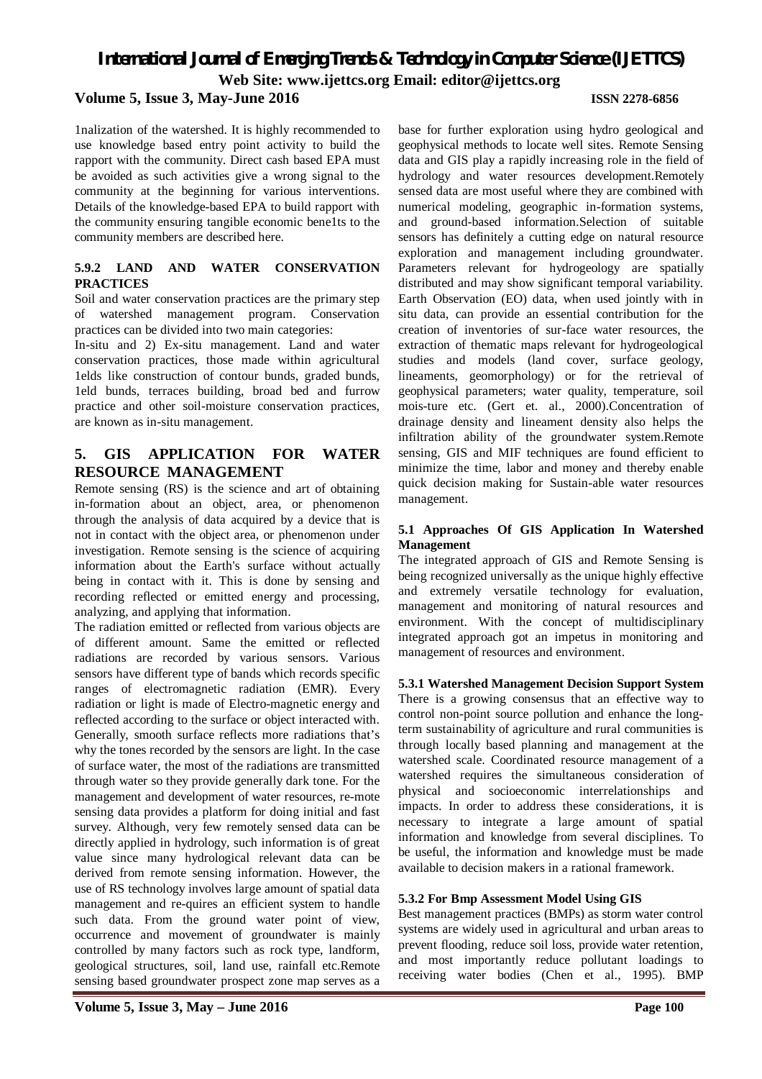### **Volume 5, Issue 3, May-June 2016 ISSN 2278-6856**

1nalization of the watershed. It is highly recommended to use knowledge based entry point activity to build the rapport with the community. Direct cash based EPA must be avoided as such activities give a wrong signal to the community at the beginning for various interventions. Details of the knowledge-based EPA to build rapport with the community ensuring tangible economic bene1ts to the community members are described here.

#### **5.9.2 LAND AND WATER CONSERVATION PRACTICES**

Soil and water conservation practices are the primary step of watershed management program. Conservation practices can be divided into two main categories:

In-situ and 2) Ex-situ management. Land and water conservation practices, those made within agricultural 1elds like construction of contour bunds, graded bunds, 1eld bunds, terraces building, broad bed and furrow practice and other soil-moisture conservation practices, are known as in-situ management.

## **5. GIS APPLICATION FOR WATER RESOURCE MANAGEMENT**

Remote sensing (RS) is the science and art of obtaining in-formation about an object, area, or phenomenon through the analysis of data acquired by a device that is not in contact with the object area, or phenomenon under investigation. Remote sensing is the science of acquiring information about the Earth's surface without actually being in contact with it. This is done by sensing and recording reflected or emitted energy and processing, analyzing, and applying that information.

The radiation emitted or reflected from various objects are of different amount. Same the emitted or reflected radiations are recorded by various sensors. Various sensors have different type of bands which records specific ranges of electromagnetic radiation (EMR). Every radiation or light is made of Electro-magnetic energy and reflected according to the surface or object interacted with. Generally, smooth surface reflects more radiations that's why the tones recorded by the sensors are light. In the case of surface water, the most of the radiations are transmitted through water so they provide generally dark tone. For the management and development of water resources, re-mote sensing data provides a platform for doing initial and fast survey. Although, very few remotely sensed data can be directly applied in hydrology, such information is of great value since many hydrological relevant data can be derived from remote sensing information. However, the use of RS technology involves large amount of spatial data management and re-quires an efficient system to handle such data. From the ground water point of view, occurrence and movement of groundwater is mainly controlled by many factors such as rock type, landform, geological structures, soil, land use, rainfall etc.Remote sensing based groundwater prospect zone map serves as a

base for further exploration using hydro geological and geophysical methods to locate well sites. Remote Sensing data and GIS play a rapidly increasing role in the field of hydrology and water resources development.Remotely sensed data are most useful where they are combined with numerical modeling, geographic in-formation systems, and ground-based information.Selection of suitable sensors has definitely a cutting edge on natural resource exploration and management including groundwater. Parameters relevant for hydrogeology are spatially distributed and may show significant temporal variability. Earth Observation (EO) data, when used jointly with in situ data, can provide an essential contribution for the creation of inventories of sur-face water resources, the extraction of thematic maps relevant for hydrogeological studies and models (land cover, surface geology, lineaments, geomorphology) or for the retrieval of geophysical parameters; water quality, temperature, soil mois-ture etc. (Gert et. al., 2000).Concentration of drainage density and lineament density also helps the infiltration ability of the groundwater system.Remote sensing, GIS and MIF techniques are found efficient to minimize the time, labor and money and thereby enable quick decision making for Sustain-able water resources management.

#### **5.1 Approaches Of GIS Application In Watershed Management**

The integrated approach of GIS and Remote Sensing is being recognized universally as the unique highly effective and extremely versatile technology for evaluation, management and monitoring of natural resources and environment. With the concept of multidisciplinary integrated approach got an impetus in monitoring and management of resources and environment.

#### **5.3.1 Watershed Management Decision Support System**

There is a growing consensus that an effective way to control non-point source pollution and enhance the longterm sustainability of agriculture and rural communities is through locally based planning and management at the watershed scale. Coordinated resource management of a watershed requires the simultaneous consideration of physical and socioeconomic interrelationships and impacts. In order to address these considerations, it is necessary to integrate a large amount of spatial information and knowledge from several disciplines. To be useful, the information and knowledge must be made available to decision makers in a rational framework.

#### **5.3.2 For Bmp Assessment Model Using GIS**

Best management practices (BMPs) as storm water control systems are widely used in agricultural and urban areas to prevent flooding, reduce soil loss, provide water retention, and most importantly reduce pollutant loadings to receiving water bodies (Chen et al., 1995). BMP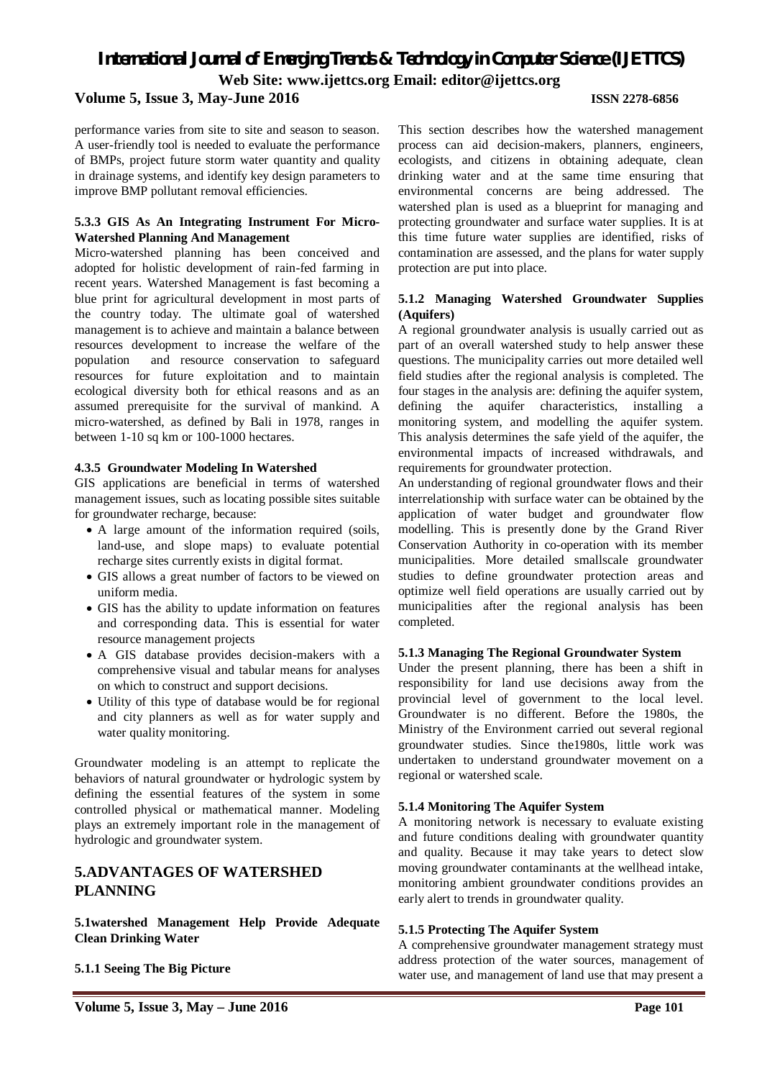#### **Volume 5, Issue 3, May-June 2016 ISSN 2278-6856**

performance varies from site to site and season to season. A user-friendly tool is needed to evaluate the performance of BMPs, project future storm water quantity and quality in drainage systems, and identify key design parameters to improve BMP pollutant removal efficiencies.

#### **5.3.3 GIS As An Integrating Instrument For Micro-Watershed Planning And Management**

Micro-watershed planning has been conceived and adopted for holistic development of rain-fed farming in recent years. Watershed Management is fast becoming a blue print for agricultural development in most parts of the country today. The ultimate goal of watershed management is to achieve and maintain a balance between resources development to increase the welfare of the population and resource conservation to safeguard resources for future exploitation and to maintain ecological diversity both for ethical reasons and as an assumed prerequisite for the survival of mankind. A micro-watershed, as defined by Bali in 1978, ranges in between 1-10 sq km or 100-1000 hectares.

#### **4.3.5 Groundwater Modeling In Watershed**

GIS applications are beneficial in terms of watershed management issues, such as locating possible sites suitable for groundwater recharge, because:

- A large amount of the information required (soils, land-use, and slope maps) to evaluate potential recharge sites currently exists in digital format.
- GIS allows a great number of factors to be viewed on uniform media.
- GIS has the ability to update information on features and corresponding data. This is essential for water resource management projects
- A GIS database provides decision-makers with a comprehensive visual and tabular means for analyses on which to construct and support decisions.
- Utility of this type of database would be for regional and city planners as well as for water supply and water quality monitoring.

Groundwater modeling is an attempt to replicate the behaviors of natural groundwater or hydrologic system by defining the essential features of the system in some controlled physical or mathematical manner. Modeling plays an extremely important role in the management of hydrologic and groundwater system.

# **5.ADVANTAGES OF WATERSHED PLANNING**

**5.1watershed Management Help Provide Adequate Clean Drinking Water**

**5.1.1 Seeing The Big Picture**

This section describes how the watershed management process can aid decision-makers, planners, engineers, ecologists, and citizens in obtaining adequate, clean drinking water and at the same time ensuring that environmental concerns are being addressed. The watershed plan is used as a blueprint for managing and protecting groundwater and surface water supplies. It is at this time future water supplies are identified, risks of contamination are assessed, and the plans for water supply protection are put into place.

#### **5.1.2 Managing Watershed Groundwater Supplies (Aquifers)**

A regional groundwater analysis is usually carried out as part of an overall watershed study to help answer these questions. The municipality carries out more detailed well field studies after the regional analysis is completed. The four stages in the analysis are: defining the aquifer system, defining the aquifer characteristics, installing a monitoring system, and modelling the aquifer system. This analysis determines the safe yield of the aquifer, the environmental impacts of increased withdrawals, and requirements for groundwater protection.

An understanding of regional groundwater flows and their interrelationship with surface water can be obtained by the application of water budget and groundwater flow modelling. This is presently done by the Grand River Conservation Authority in co-operation with its member municipalities. More detailed smallscale groundwater studies to define groundwater protection areas and optimize well field operations are usually carried out by municipalities after the regional analysis has been completed.

#### **5.1.3 Managing The Regional Groundwater System**

Under the present planning, there has been a shift in responsibility for land use decisions away from the provincial level of government to the local level. Groundwater is no different. Before the 1980s, the Ministry of the Environment carried out several regional groundwater studies. Since the1980s, little work was undertaken to understand groundwater movement on a regional or watershed scale.

#### **5.1.4 Monitoring The Aquifer System**

A monitoring network is necessary to evaluate existing and future conditions dealing with groundwater quantity and quality. Because it may take years to detect slow moving groundwater contaminants at the wellhead intake, monitoring ambient groundwater conditions provides an early alert to trends in groundwater quality.

#### **5.1.5 Protecting The Aquifer System**

A comprehensive groundwater management strategy must address protection of the water sources, management of water use, and management of land use that may present a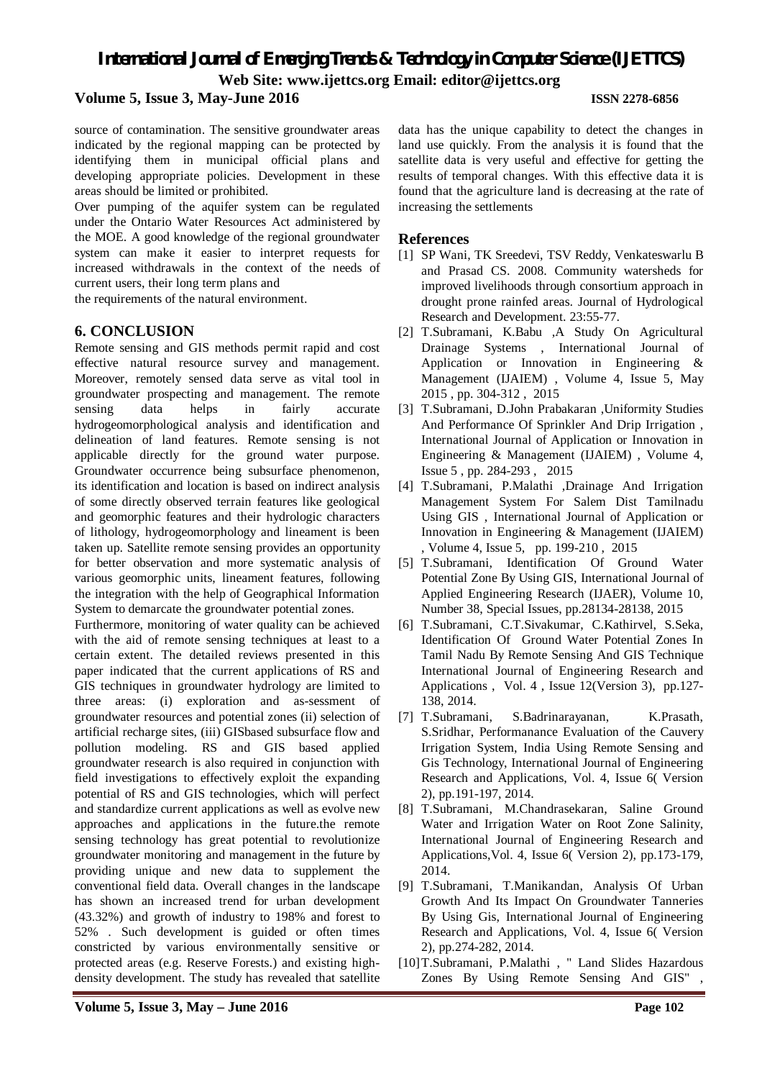#### **Volume 5, Issue 3, May-June 2016 ISSN 2278-6856**

source of contamination. The sensitive groundwater areas indicated by the regional mapping can be protected by identifying them in municipal official plans and developing appropriate policies. Development in these areas should be limited or prohibited.

Over pumping of the aquifer system can be regulated under the Ontario Water Resources Act administered by the MOE. A good knowledge of the regional groundwater system can make it easier to interpret requests for increased withdrawals in the context of the needs of current users, their long term plans and

the requirements of the natural environment.

### **6. CONCLUSION**

Remote sensing and GIS methods permit rapid and cost effective natural resource survey and management. Moreover, remotely sensed data serve as vital tool in groundwater prospecting and management. The remote sensing data helps in fairly accurate hydrogeomorphological analysis and identification and delineation of land features. Remote sensing is not applicable directly for the ground water purpose. Groundwater occurrence being subsurface phenomenon, its identification and location is based on indirect analysis of some directly observed terrain features like geological and geomorphic features and their hydrologic characters of lithology, hydrogeomorphology and lineament is been taken up. Satellite remote sensing provides an opportunity for better observation and more systematic analysis of various geomorphic units, lineament features, following the integration with the help of Geographical Information System to demarcate the groundwater potential zones.

Furthermore, monitoring of water quality can be achieved with the aid of remote sensing techniques at least to a certain extent. The detailed reviews presented in this paper indicated that the current applications of RS and GIS techniques in groundwater hydrology are limited to three areas: (i) exploration and as-sessment of groundwater resources and potential zones (ii) selection of artificial recharge sites, (iii) GISbased subsurface flow and pollution modeling. RS and GIS based applied groundwater research is also required in conjunction with field investigations to effectively exploit the expanding potential of RS and GIS technologies, which will perfect and standardize current applications as well as evolve new approaches and applications in the future.the remote sensing technology has great potential to revolutionize groundwater monitoring and management in the future by providing unique and new data to supplement the conventional field data. Overall changes in the landscape has shown an increased trend for urban development (43.32%) and growth of industry to 198% and forest to 52% . Such development is guided or often times constricted by various environmentally sensitive or protected areas (e.g. Reserve Forests.) and existing highdensity development. The study has revealed that satellite

data has the unique capability to detect the changes in land use quickly. From the analysis it is found that the satellite data is very useful and effective for getting the results of temporal changes. With this effective data it is found that the agriculture land is decreasing at the rate of increasing the settlements

### **References**

- [1] SP Wani, TK Sreedevi, TSV Reddy, Venkateswarlu B and Prasad CS. 2008. Community watersheds for improved livelihoods through consortium approach in drought prone rainfed areas. Journal of Hydrological Research and Development. 23:55-77.
- [2] T.Subramani, K.Babu ,A Study On Agricultural Drainage Systems , International Journal of Application or Innovation in Engineering & Management (IJAIEM) , Volume 4, Issue 5, May 2015 , pp. 304-312 , 2015
- [3] T.Subramani, D.John Prabakaran ,Uniformity Studies And Performance Of Sprinkler And Drip Irrigation , International Journal of Application or Innovation in Engineering & Management (IJAIEM) , Volume 4, Issue 5 , pp. 284-293 , 2015
- [4] T.Subramani, P.Malathi ,Drainage And Irrigation Management System For Salem Dist Tamilnadu Using GIS , International Journal of Application or Innovation in Engineering & Management (IJAIEM) , Volume 4, Issue 5, pp. 199-210 , 2015
- [5] T.Subramani, Identification Of Ground Water Potential Zone By Using GIS, International Journal of Applied Engineering Research (IJAER), Volume 10, Number 38, Special Issues, pp.28134-28138, 2015
- [6] T.Subramani, C.T.Sivakumar, C.Kathirvel, S.Seka, Identification Of Ground Water Potential Zones In Tamil Nadu By Remote Sensing And GIS Technique International Journal of Engineering Research and Applications , Vol. 4 , Issue 12(Version 3), pp.127- 138, 2014.
- [7] T.Subramani, S.Badrinarayanan, K.Prasath, S.Sridhar, Performanance Evaluation of the Cauvery Irrigation System, India Using Remote Sensing and Gis Technology, International Journal of Engineering Research and Applications, Vol. 4, Issue 6( Version 2), pp.191-197, 2014.
- [8] T.Subramani, M.Chandrasekaran, Saline Ground Water and Irrigation Water on Root Zone Salinity, International Journal of Engineering Research and Applications,Vol. 4, Issue 6( Version 2), pp.173-179, 2014.
- [9] T.Subramani, T.Manikandan, Analysis Of Urban Growth And Its Impact On Groundwater Tanneries By Using Gis, International Journal of Engineering Research and Applications, Vol. 4, Issue 6( Version 2), pp.274-282, 2014.
- [10]T.Subramani, P.Malathi , " Land Slides Hazardous Zones By Using Remote Sensing And GIS"